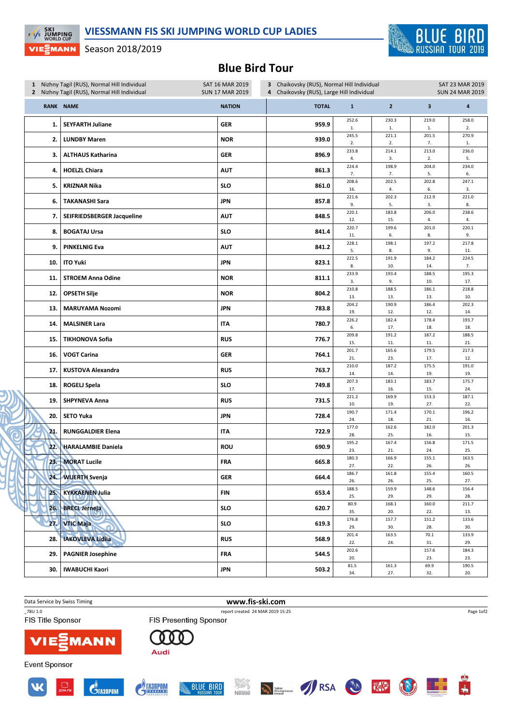

## Season 2018/2019

**EXI**<br>EXIS JUMPING

VIEᢓMANN

## Blue Bird Tour

| 1 Nizhny Tagil (RUS), Normal Hill Individual<br>2 Nizhny Tagil (RUS), Normal Hill Individual |                            | 3 Chaikovsky (RUS), Normal Hill Individual<br>SAT 16 MAR 2019<br><b>SUN 17 MAR 2019</b><br>Chaikovsky (RUS), Large Hill Individual<br>4 |              |              |                         |                         | <b>SAT 23 MAR 2019</b><br><b>SUN 24 MAR 2019</b> |  |
|----------------------------------------------------------------------------------------------|----------------------------|-----------------------------------------------------------------------------------------------------------------------------------------|--------------|--------------|-------------------------|-------------------------|--------------------------------------------------|--|
|                                                                                              | <b>RANK NAME</b>           | <b>NATION</b>                                                                                                                           | <b>TOTAL</b> | $\mathbf{1}$ | $\overline{2}$          | $\overline{\mathbf{3}}$ | $\overline{\mathbf{4}}$                          |  |
| 1.                                                                                           | <b>SEYFARTH Juliane</b>    | <b>GER</b>                                                                                                                              | 959.9        | 252.6<br>1.  | 230.3<br>$\mathbf{1}$ . | 219.0<br>$1.$           | 258.0<br>2.                                      |  |
| 2.                                                                                           | <b>LUNDBY Maren</b>        | <b>NOR</b>                                                                                                                              | 939.0        | 245.5<br>2.  | 221.1<br>2.             | 201.5<br>7.             | 270.9<br>1.                                      |  |
| 3.                                                                                           | <b>ALTHAUS Katharina</b>   | GER                                                                                                                                     | 896.9        | 233.8<br>4.  | 214.1<br>3.             | 213.0<br>2.             | 236.0<br>5.                                      |  |
| 4.                                                                                           | <b>HOELZL Chiara</b>       | <b>AUT</b>                                                                                                                              | 861.3        | 224.4<br>7.  | 198.9<br>7.             | 204.0<br>5.             | 234.0<br>6.                                      |  |
| 5.                                                                                           | <b>KRIZNAR Nika</b>        | <b>SLO</b>                                                                                                                              | 861.0        | 208.6<br>16. | 202.5<br>4.             | 202.8<br>6.             | 247.1<br>3.                                      |  |
| 6.                                                                                           | <b>TAKANASHI Sara</b>      | <b>JPN</b>                                                                                                                              | 857.8        | 221.6<br>9.  | 202.3<br>5.             | 212.9<br>3.             | 221.0<br>8.                                      |  |
| 7.                                                                                           | SEIFRIEDSBERGER Jacqueline | <b>AUT</b>                                                                                                                              | 848.5        | 220.1<br>12. | 183.8<br>15.            | 206.0<br>4.             | 238.6<br>4.                                      |  |
| 8.                                                                                           | <b>BOGATAJ Ursa</b>        | SLO                                                                                                                                     | 841.4        | 220.7<br>11. | 199.6<br>6.             | 201.0<br>8.             | 220.1<br>9.                                      |  |
| 9.                                                                                           | <b>PINKELNIG Eva</b>       | <b>AUT</b>                                                                                                                              | 841.2        | 228.1<br>5.  | 198.1<br>8.             | 197.2<br>9.             | 217.8<br>11.                                     |  |
| 10.                                                                                          | <b>ITO Yuki</b>            | JPN                                                                                                                                     | 823.1        | 222.5<br>8.  | 191.9<br>10.            | 184.2<br>14.            | 224.5<br>7.                                      |  |
| 11.                                                                                          | <b>STROEM Anna Odine</b>   | <b>NOR</b>                                                                                                                              | 811.1        | 233.9<br>3.  | 193.4<br>9.             | 188.5<br>10.            | 195.3<br>17.                                     |  |
| 12.                                                                                          | <b>OPSETH Silje</b>        | <b>NOR</b>                                                                                                                              | 804.2        | 210.8<br>13. | 188.5<br>13.            | 186.1<br>13.            | 218.8<br>10.                                     |  |
| 13.                                                                                          | <b>MARUYAMA Nozomi</b>     | JPN                                                                                                                                     | 783.8        | 204.2<br>19. | 190.9<br>12.            | 186.4<br>12.            | 202.3<br>14.                                     |  |
| 14.                                                                                          | <b>MALSINER Lara</b>       | ITA                                                                                                                                     | 780.7        | 226.2<br>6.  | 182.4<br>17.            | 178.4<br>18.            | 193.7<br>18.                                     |  |
| 15.                                                                                          | <b>TIKHONOVA Sofia</b>     | <b>RUS</b>                                                                                                                              | 776.7        | 209.8<br>15. | 191.2<br>11.            | 187.2<br>11.            | 188.5<br>21.                                     |  |
| 16.                                                                                          | <b>VOGT Carina</b>         | <b>GER</b>                                                                                                                              | 764.1        | 201.7<br>21. | 165.6<br>23.            | 179.5<br>17.            | 217.3<br>12.                                     |  |
| 17.                                                                                          | <b>KUSTOVA Alexandra</b>   | <b>RUS</b>                                                                                                                              | 763.7        | 210.0<br>14. | 187.2<br>14.            | 175.5<br>19.            | 191.0<br>19.                                     |  |
| 18.                                                                                          | <b>ROGELJ Spela</b>        | <b>SLO</b>                                                                                                                              | 749.8        | 207.3<br>17. | 183.1<br>16.            | 183.7<br>15.            | 175.7<br>24.                                     |  |
| 19.                                                                                          | <b>SHPYNEVA Anna</b>       | <b>RUS</b>                                                                                                                              | 731.5        | 221.2<br>10. | 169.9<br>19.            | 153.3<br>27.            | 187.1<br>22.                                     |  |
| 20.                                                                                          | <b>SETO Yuka</b>           | JPN                                                                                                                                     | 728.4        | 190.7<br>24. | 171.4<br>18.            | 170.1<br>21.            | 196.2<br>16.                                     |  |
| 21.                                                                                          | <b>RUNGGALDIER Elena</b>   | ITA                                                                                                                                     | 722.9        | 177.0<br>28. | 162.6<br>25.            | 182.0<br>16.            | 201.3<br>15.                                     |  |
| 22.                                                                                          | <b>HARALAMBIE Daniela</b>  | <b>ROU</b>                                                                                                                              | 690.9        | 195.2<br>23. | 167.4<br>21.            | 156.8<br>24.            | 171.5<br>25.                                     |  |
| $23 -$                                                                                       | <b>MORAT Lucile</b>        | <b>FRA</b>                                                                                                                              | 665.8        | 180.3<br>27. | 166.9<br>22.            | 155.1<br>26.            | 163.5<br>26.                                     |  |
| 24.                                                                                          | <b>WUERTH Svenja</b>       | GER                                                                                                                                     | 664.4        | 186.7<br>26. | 161.8<br>26.            | 155.4<br>25.            | 160.5<br>27.                                     |  |
| 25.                                                                                          | <b>KYKKAENEN Julia</b>     | FIN                                                                                                                                     | 653.4        | 188.5<br>25. | 159.9<br>29.            | 148.6<br>29.            | 156.4<br>28.                                     |  |
| 26.                                                                                          | <b>BRECL Jerneja</b>       | SLO                                                                                                                                     | 620.7        | 80.9<br>35.  | 168.1<br>20.            | 160.0<br>22.            | 211.7<br>13.                                     |  |
| 27.                                                                                          | <b>VTIC Maja</b>           | SLO                                                                                                                                     | 619.3        | 176.8<br>29. | 157.7<br>30.            | 151.2<br>28.            | 133.6<br>30.                                     |  |
| 28.                                                                                          | <b>IAKOVLEVA Lidija</b>    | <b>RUS</b>                                                                                                                              | 568.9        | 201.4<br>22. | 163.5<br>24.            | 70.1<br>31.             | 133.9<br>29.                                     |  |
| 29.                                                                                          | <b>PAGNIER Josephine</b>   | <b>FRA</b>                                                                                                                              | 544.5        | 202.6<br>20. |                         | 157.6<br>23.            | 184.3<br>23.                                     |  |
| 30.                                                                                          | <b>IWABUCHI Kaori</b>      | <b>JPN</b>                                                                                                                              | 503.2        | 81.5<br>34.  | 161.3<br>27.            | 69.9<br>32.             | 190.5<br>20.                                     |  |

Data Service by Swiss Timing **www.fis-ski.com** 

FIS Title Sponsor

**Event Sponsor** 

\_78U 1.0 report created 24 MAR 2019 15:25



000

**FIS Presenting Sponsor** 















H.